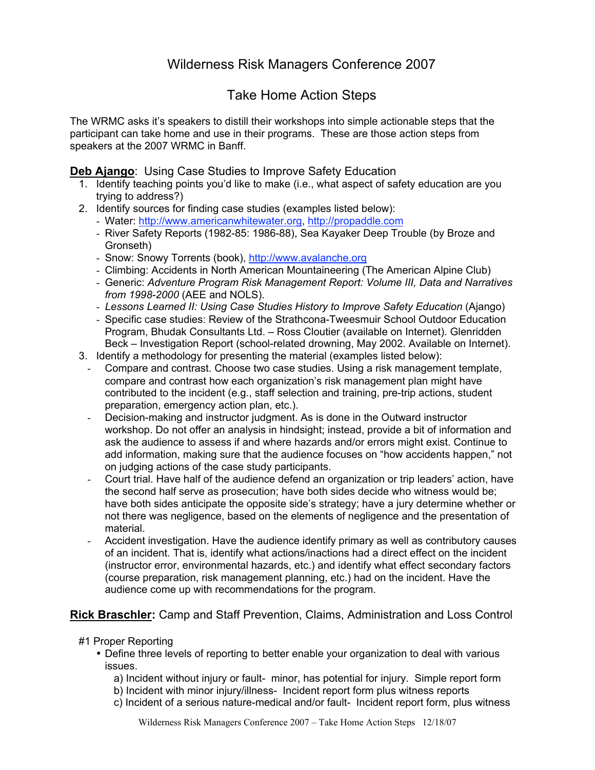# Wilderness Risk Managers Conference 2007

## Take Home Action Steps

The WRMC asks it's speakers to distill their workshops into simple actionable steps that the participant can take home and use in their programs. These are those action steps from speakers at the 2007 WRMC in Banff.

#### **Deb Ajango**: Using Case Studies to Improve Safety Education

- 1. Identify teaching points you'd like to make (i.e., what aspect of safety education are you trying to address?)
- 2. Identify sources for finding case studies (examples listed below):
	- Water: http://www.americanwhitewater.org, http://propaddle.com
	- River Safety Reports (1982-85: 1986-88), Sea Kayaker Deep Trouble (by Broze and Gronseth)
	- Snow: Snowy Torrents (book), http://www.avalanche.org
	- Climbing: Accidents in North American Mountaineering (The American Alpine Club)
	- Generic: *Adventure Program Risk Management Report: Volume III, Data and Narratives from 1998-2000* (AEE and NOLS).
	- Lessons Learned II: Using Case Studies History to Improve Safety Education (Ajango)
	- Specific case studies: Review of the Strathcona-Tweesmuir School Outdoor Education Program, Bhudak Consultants Ltd. – Ross Cloutier (available on Internet). Glenridden Beck – Investigation Report (school-related drowning, May 2002. Available on Internet).
- 3. Identify a methodology for presenting the material (examples listed below):
	- Compare and contrast. Choose two case studies. Using a risk management template, compare and contrast how each organization's risk management plan might have contributed to the incident (e.g., staff selection and training, pre-trip actions, student preparation, emergency action plan, etc.).
	- Decision-making and instructor judgment. As is done in the Outward instructor workshop. Do not offer an analysis in hindsight; instead, provide a bit of information and ask the audience to assess if and where hazards and/or errors might exist. Continue to add information, making sure that the audience focuses on "how accidents happen," not on judging actions of the case study participants.
	- Court trial. Have half of the audience defend an organization or trip leaders' action, have the second half serve as prosecution; have both sides decide who witness would be; have both sides anticipate the opposite side's strategy; have a jury determine whether or not there was negligence, based on the elements of negligence and the presentation of material.
	- Accident investigation. Have the audience identify primary as well as contributory causes of an incident. That is, identify what actions/inactions had a direct effect on the incident (instructor error, environmental hazards, etc.) and identify what effect secondary factors (course preparation, risk management planning, etc.) had on the incident. Have the audience come up with recommendations for the program.

### **Rick Braschler:** Camp and Staff Prevention, Claims, Administration and Loss Control

- #1 Proper Reporting
	- Define three levels of reporting to better enable your organization to deal with various issues.
		- a) Incident without injury or fault- minor, has potential for injury. Simple report form
		- b) Incident with minor injury/illness- Incident report form plus witness reports
		- c) Incident of a serious nature-medical and/or fault- Incident report form, plus witness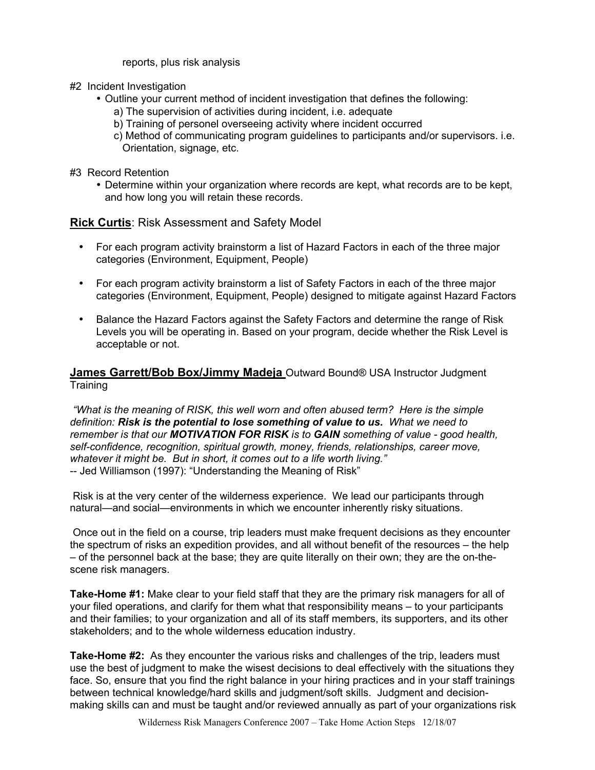reports, plus risk analysis

- #2 Incident Investigation
	- Outline your current method of incident investigation that defines the following:
		- a) The supervision of activities during incident, i.e. adequate
		- b) Training of personel overseeing activity where incident occurred
		- c) Method of communicating program guidelines to participants and/or supervisors. i.e. Orientation, signage, etc.
- #3 Record Retention
	- Determine within your organization where records are kept, what records are to be kept, and how long you will retain these records.

### **Rick Curtis**: Risk Assessment and Safety Model

- For each program activity brainstorm a list of Hazard Factors in each of the three major categories (Environment, Equipment, People)
- For each program activity brainstorm a list of Safety Factors in each of the three major categories (Environment, Equipment, People) designed to mitigate against Hazard Factors
- Balance the Hazard Factors against the Safety Factors and determine the range of Risk Levels you will be operating in. Based on your program, decide whether the Risk Level is acceptable or not.

### **James Garrett/Bob Box/Jimmy Madeja** Outward Bound® USA Instructor Judgment **Training**

 *"What is the meaning of RISK, this well worn and often abused term? Here is the simple definition: Risk is the potential to lose something of value to us. What we need to remember is that our MOTIVATION FOR RISK is to GAIN something of value - good health, self-confidence, recognition, spiritual growth, money, friends, relationships, career move, whatever it might be. But in short, it comes out to a life worth living."* -- Jed Williamson (1997): "Understanding the Meaning of Risk"

 Risk is at the very center of the wilderness experience. We lead our participants through natural—and social—environments in which we encounter inherently risky situations.

 Once out in the field on a course, trip leaders must make frequent decisions as they encounter the spectrum of risks an expedition provides, and all without benefit of the resources – the help – of the personnel back at the base; they are quite literally on their own; they are the on-thescene risk managers.

**Take-Home #1:** Make clear to your field staff that they are the primary risk managers for all of your filed operations, and clarify for them what that responsibility means – to your participants and their families; to your organization and all of its staff members, its supporters, and its other stakeholders; and to the whole wilderness education industry.

**Take-Home #2:** As they encounter the various risks and challenges of the trip, leaders must use the best of judgment to make the wisest decisions to deal effectively with the situations they face. So, ensure that you find the right balance in your hiring practices and in your staff trainings between technical knowledge/hard skills and judgment/soft skills. Judgment and decisionmaking skills can and must be taught and/or reviewed annually as part of your organizations risk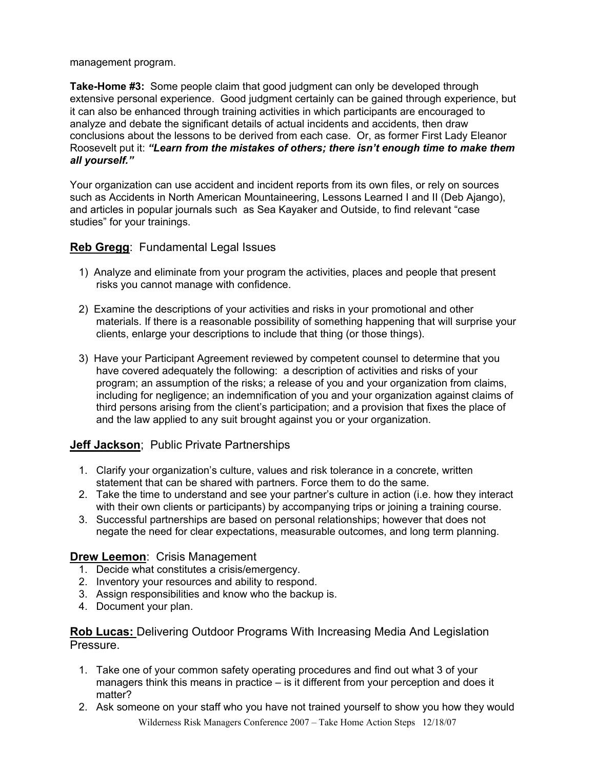#### management program.

**Take-Home #3:** Some people claim that good judgment can only be developed through extensive personal experience. Good judgment certainly can be gained through experience, but it can also be enhanced through training activities in which participants are encouraged to analyze and debate the significant details of actual incidents and accidents, then draw conclusions about the lessons to be derived from each case. Or, as former First Lady Eleanor Roosevelt put it: *"Learn from the mistakes of others; there isn't enough time to make them all yourself."* 

Your organization can use accident and incident reports from its own files, or rely on sources such as Accidents in North American Mountaineering, Lessons Learned I and II (Deb Ajango), and articles in popular journals such as Sea Kayaker and Outside, to find relevant "case studies" for your trainings.

### **Reb Gregg**: Fundamental Legal Issues

- 1) Analyze and eliminate from your program the activities, places and people that present risks you cannot manage with confidence.
- 2) Examine the descriptions of your activities and risks in your promotional and other materials. If there is a reasonable possibility of something happening that will surprise your clients, enlarge your descriptions to include that thing (or those things).
- 3) Have your Participant Agreement reviewed by competent counsel to determine that you have covered adequately the following: a description of activities and risks of your program; an assumption of the risks; a release of you and your organization from claims, including for negligence; an indemnification of you and your organization against claims of third persons arising from the client's participation; and a provision that fixes the place of and the law applied to any suit brought against you or your organization.

## **Jeff Jackson**; Public Private Partnerships

- 1. Clarify your organization's culture, values and risk tolerance in a concrete, written statement that can be shared with partners. Force them to do the same.
- 2. Take the time to understand and see your partner's culture in action (i.e. how they interact with their own clients or participants) by accompanying trips or joining a training course.
- 3. Successful partnerships are based on personal relationships; however that does not negate the need for clear expectations, measurable outcomes, and long term planning.

### **Drew Leemon**: Crisis Management

- 1. Decide what constitutes a crisis/emergency.
- 2. Inventory your resources and ability to respond.
- 3. Assign responsibilities and know who the backup is.
- 4. Document your plan.

**Rob Lucas:** Delivering Outdoor Programs With Increasing Media And Legislation Pressure.

- 1. Take one of your common safety operating procedures and find out what 3 of your managers think this means in practice – is it different from your perception and does it matter?
- Wilderness Risk Managers Conference 2007 Take Home Action Steps 12/18/07 2. Ask someone on your staff who you have not trained yourself to show you how they would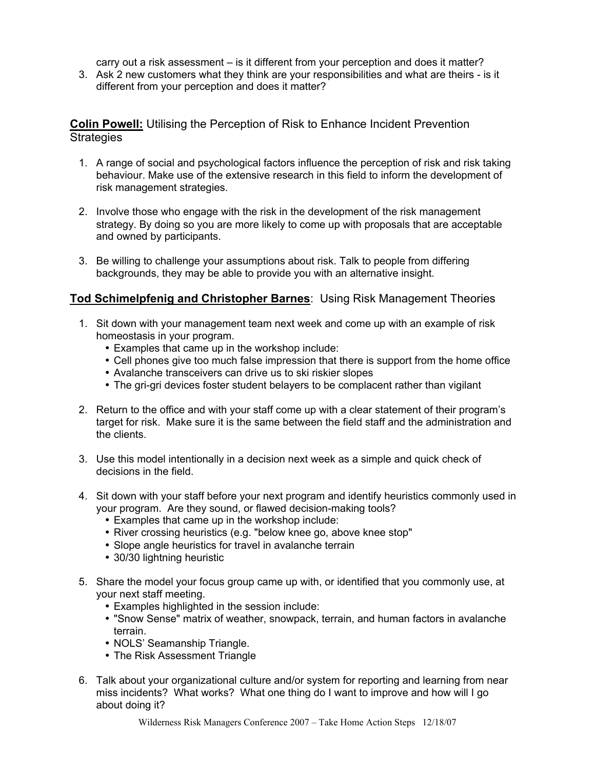carry out a risk assessment – is it different from your perception and does it matter?

3. Ask 2 new customers what they think are your responsibilities and what are theirs - is it different from your perception and does it matter?

**Colin Powell:** Utilising the Perception of Risk to Enhance Incident Prevention **Strategies** 

- 1. A range of social and psychological factors influence the perception of risk and risk taking behaviour. Make use of the extensive research in this field to inform the development of risk management strategies.
- 2. Involve those who engage with the risk in the development of the risk management strategy. By doing so you are more likely to come up with proposals that are acceptable and owned by participants.
- 3. Be willing to challenge your assumptions about risk. Talk to people from differing backgrounds, they may be able to provide you with an alternative insight.

### **Tod Schimelpfenig and Christopher Barnes**: Using Risk Management Theories

- 1. Sit down with your management team next week and come up with an example of risk homeostasis in your program.
	- Examples that came up in the workshop include:
	- Cell phones give too much false impression that there is support from the home office
	- Avalanche transceivers can drive us to ski riskier slopes
	- The gri-gri devices foster student belayers to be complacent rather than vigilant
- 2. Return to the office and with your staff come up with a clear statement of their program's target for risk. Make sure it is the same between the field staff and the administration and the clients.
- 3. Use this model intentionally in a decision next week as a simple and quick check of decisions in the field.
- 4. Sit down with your staff before your next program and identify heuristics commonly used in your program. Are they sound, or flawed decision-making tools?
	- Examples that came up in the workshop include:
	- River crossing heuristics (e.g. "below knee go, above knee stop"
	- Slope angle heuristics for travel in avalanche terrain
	- 30/30 lightning heuristic
- 5. Share the model your focus group came up with, or identified that you commonly use, at your next staff meeting.
	- Examples highlighted in the session include:
	- "Snow Sense" matrix of weather, snowpack, terrain, and human factors in avalanche terrain.
	- NOLS' Seamanship Triangle.
	- The Risk Assessment Triangle
- 6. Talk about your organizational culture and/or system for reporting and learning from near miss incidents? What works? What one thing do I want to improve and how will I go about doing it?